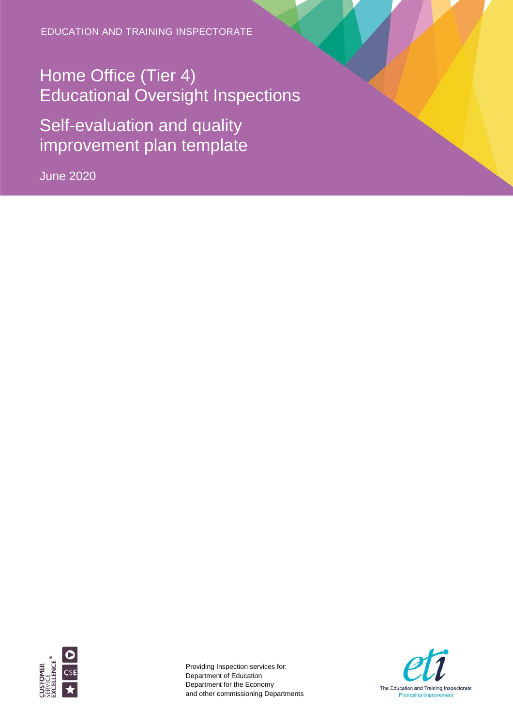EDUCATION AND TRAINING INSPECTORATE

Home Office (Tier 4) Educational Oversight Inspections

Self-evaluation and quality improvement plan template

June 2020



Providing Inspection services for: Department of Education Department for the Economy and other commissioning Departments

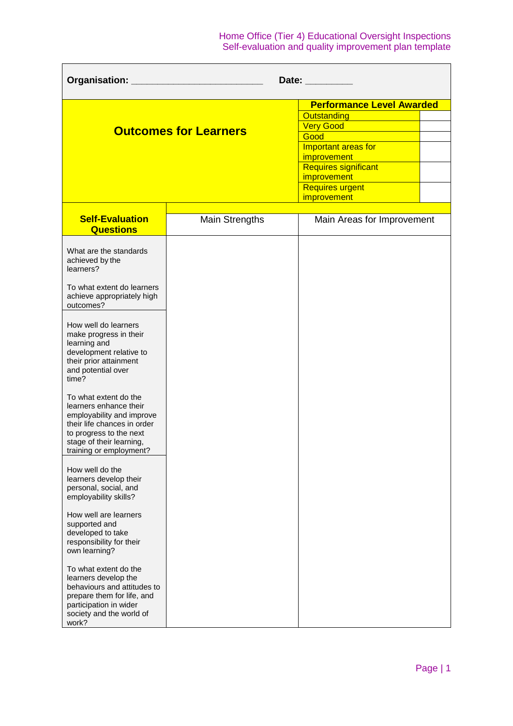| Organisation:<br>Date: <b>Date</b>                                                                                                                                                                                                                                                                                                                                                                                                                                                                                                                                                                                                                                                                                                                                                                                                        |                              |                                  |  |  |
|-------------------------------------------------------------------------------------------------------------------------------------------------------------------------------------------------------------------------------------------------------------------------------------------------------------------------------------------------------------------------------------------------------------------------------------------------------------------------------------------------------------------------------------------------------------------------------------------------------------------------------------------------------------------------------------------------------------------------------------------------------------------------------------------------------------------------------------------|------------------------------|----------------------------------|--|--|
|                                                                                                                                                                                                                                                                                                                                                                                                                                                                                                                                                                                                                                                                                                                                                                                                                                           |                              | <b>Performance Level Awarded</b> |  |  |
|                                                                                                                                                                                                                                                                                                                                                                                                                                                                                                                                                                                                                                                                                                                                                                                                                                           |                              | Outstanding                      |  |  |
|                                                                                                                                                                                                                                                                                                                                                                                                                                                                                                                                                                                                                                                                                                                                                                                                                                           |                              | <b>Very Good</b>                 |  |  |
|                                                                                                                                                                                                                                                                                                                                                                                                                                                                                                                                                                                                                                                                                                                                                                                                                                           | <b>Outcomes for Learners</b> | Good                             |  |  |
|                                                                                                                                                                                                                                                                                                                                                                                                                                                                                                                                                                                                                                                                                                                                                                                                                                           |                              | Important areas for              |  |  |
|                                                                                                                                                                                                                                                                                                                                                                                                                                                                                                                                                                                                                                                                                                                                                                                                                                           |                              | improvement                      |  |  |
|                                                                                                                                                                                                                                                                                                                                                                                                                                                                                                                                                                                                                                                                                                                                                                                                                                           |                              | <b>Requires significant</b>      |  |  |
|                                                                                                                                                                                                                                                                                                                                                                                                                                                                                                                                                                                                                                                                                                                                                                                                                                           |                              | improvement                      |  |  |
|                                                                                                                                                                                                                                                                                                                                                                                                                                                                                                                                                                                                                                                                                                                                                                                                                                           |                              | <b>Requires urgent</b>           |  |  |
|                                                                                                                                                                                                                                                                                                                                                                                                                                                                                                                                                                                                                                                                                                                                                                                                                                           |                              | <i>improvement</i>               |  |  |
|                                                                                                                                                                                                                                                                                                                                                                                                                                                                                                                                                                                                                                                                                                                                                                                                                                           |                              |                                  |  |  |
| <b>Self-Evaluation</b><br><b>Questions</b>                                                                                                                                                                                                                                                                                                                                                                                                                                                                                                                                                                                                                                                                                                                                                                                                | <b>Main Strengths</b>        | Main Areas for Improvement       |  |  |
| What are the standards<br>achieved by the<br>learners?<br>To what extent do learners<br>achieve appropriately high<br>outcomes?<br>How well do learners<br>make progress in their<br>learning and<br>development relative to<br>their prior attainment<br>and potential over<br>time?<br>To what extent do the<br>learners enhance their<br>employability and improve<br>their life chances in order<br>to progress to the next<br>stage of their learning,<br>training or employment?<br>How well do the<br>learners develop their<br>personal, social, and<br>employability skills?<br>How well are learners<br>supported and<br>developed to take<br>responsibility for their<br>own learning?<br>To what extent do the<br>learners develop the<br>behaviours and attitudes to<br>prepare them for life, and<br>participation in wider |                              |                                  |  |  |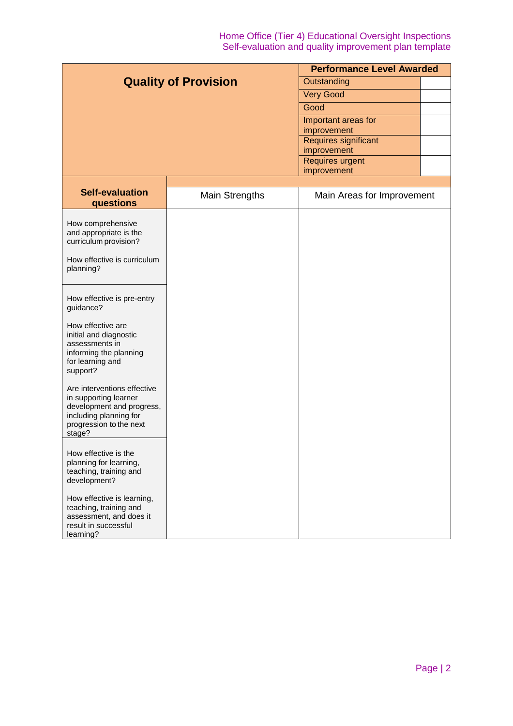| <b>Quality of Provision</b>                                                                                                                                                                                                                                                                                                                                                                                                                                                                                                                                                                                               |                       | <b>Performance Level Awarded</b> |  |  |
|---------------------------------------------------------------------------------------------------------------------------------------------------------------------------------------------------------------------------------------------------------------------------------------------------------------------------------------------------------------------------------------------------------------------------------------------------------------------------------------------------------------------------------------------------------------------------------------------------------------------------|-----------------------|----------------------------------|--|--|
|                                                                                                                                                                                                                                                                                                                                                                                                                                                                                                                                                                                                                           |                       | Outstanding                      |  |  |
|                                                                                                                                                                                                                                                                                                                                                                                                                                                                                                                                                                                                                           |                       | <b>Very Good</b>                 |  |  |
|                                                                                                                                                                                                                                                                                                                                                                                                                                                                                                                                                                                                                           |                       | Good                             |  |  |
|                                                                                                                                                                                                                                                                                                                                                                                                                                                                                                                                                                                                                           |                       | Important areas for              |  |  |
|                                                                                                                                                                                                                                                                                                                                                                                                                                                                                                                                                                                                                           |                       | improvement                      |  |  |
|                                                                                                                                                                                                                                                                                                                                                                                                                                                                                                                                                                                                                           |                       | <b>Requires significant</b>      |  |  |
|                                                                                                                                                                                                                                                                                                                                                                                                                                                                                                                                                                                                                           |                       | improvement<br>Requires urgent   |  |  |
|                                                                                                                                                                                                                                                                                                                                                                                                                                                                                                                                                                                                                           |                       | improvement                      |  |  |
|                                                                                                                                                                                                                                                                                                                                                                                                                                                                                                                                                                                                                           |                       |                                  |  |  |
| <b>Self-evaluation</b>                                                                                                                                                                                                                                                                                                                                                                                                                                                                                                                                                                                                    | <b>Main Strengths</b> | Main Areas for Improvement       |  |  |
| questions                                                                                                                                                                                                                                                                                                                                                                                                                                                                                                                                                                                                                 |                       |                                  |  |  |
| How comprehensive<br>and appropriate is the<br>curriculum provision?<br>How effective is curriculum<br>planning?<br>How effective is pre-entry<br>guidance?<br>How effective are<br>initial and diagnostic<br>assessments in<br>informing the planning<br>for learning and<br>support?<br>Are interventions effective<br>in supporting learner<br>development and progress,<br>including planning for<br>progression to the next<br>stage?<br>How effective is the<br>planning for learning,<br>teaching, training and<br>development?<br>How effective is learning,<br>teaching, training and<br>assessment, and does it |                       |                                  |  |  |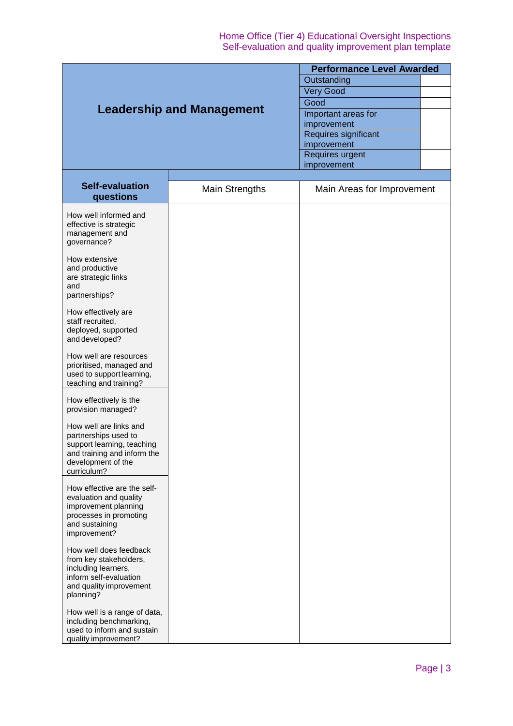| <b>Leadership and Management</b>                          |                       | <b>Performance Level Awarded</b>    |  |  |
|-----------------------------------------------------------|-----------------------|-------------------------------------|--|--|
|                                                           |                       | Outstanding                         |  |  |
|                                                           |                       | <b>Very Good</b>                    |  |  |
|                                                           |                       | Good                                |  |  |
|                                                           |                       | Important areas for                 |  |  |
|                                                           |                       | improvement                         |  |  |
|                                                           |                       | Requires significant<br>improvement |  |  |
|                                                           |                       | Requires urgent                     |  |  |
|                                                           |                       | improvement                         |  |  |
| <b>Self-evaluation</b><br>questions                       | <b>Main Strengths</b> | Main Areas for Improvement          |  |  |
| How well informed and                                     |                       |                                     |  |  |
| effective is strategic                                    |                       |                                     |  |  |
| management and                                            |                       |                                     |  |  |
| governance?                                               |                       |                                     |  |  |
| How extensive                                             |                       |                                     |  |  |
| and productive                                            |                       |                                     |  |  |
| are strategic links                                       |                       |                                     |  |  |
| and                                                       |                       |                                     |  |  |
| partnerships?                                             |                       |                                     |  |  |
| How effectively are                                       |                       |                                     |  |  |
| staff recruited,                                          |                       |                                     |  |  |
| deployed, supported                                       |                       |                                     |  |  |
| and developed?                                            |                       |                                     |  |  |
| How well are resources                                    |                       |                                     |  |  |
| prioritised, managed and                                  |                       |                                     |  |  |
| used to support learning,                                 |                       |                                     |  |  |
| teaching and training?                                    |                       |                                     |  |  |
| How effectively is the                                    |                       |                                     |  |  |
| provision managed?                                        |                       |                                     |  |  |
|                                                           |                       |                                     |  |  |
| How well are links and                                    |                       |                                     |  |  |
| partnerships used to                                      |                       |                                     |  |  |
| support learning, teaching<br>and training and inform the |                       |                                     |  |  |
| development of the                                        |                       |                                     |  |  |
| curriculum?                                               |                       |                                     |  |  |
| How effective are the self-                               |                       |                                     |  |  |
| evaluation and quality                                    |                       |                                     |  |  |
| improvement planning                                      |                       |                                     |  |  |
| processes in promoting                                    |                       |                                     |  |  |
| and sustaining                                            |                       |                                     |  |  |
| improvement?                                              |                       |                                     |  |  |
| How well does feedback                                    |                       |                                     |  |  |
| from key stakeholders,                                    |                       |                                     |  |  |
| including learners,                                       |                       |                                     |  |  |
| inform self-evaluation                                    |                       |                                     |  |  |
| and quality improvement<br>planning?                      |                       |                                     |  |  |
|                                                           |                       |                                     |  |  |
| How well is a range of data,                              |                       |                                     |  |  |
| including benchmarking,                                   |                       |                                     |  |  |
| used to inform and sustain<br>quality improvement?        |                       |                                     |  |  |
|                                                           |                       |                                     |  |  |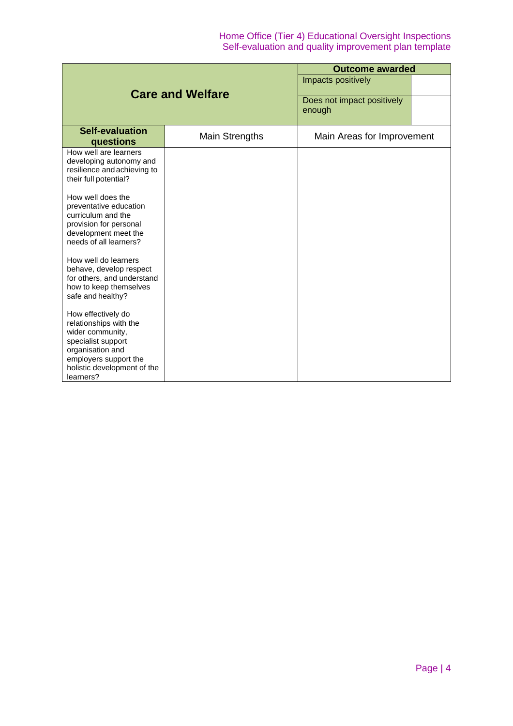|                                                                                                                                                                                 |                       | <b>Outcome awarded</b>               |  |  |
|---------------------------------------------------------------------------------------------------------------------------------------------------------------------------------|-----------------------|--------------------------------------|--|--|
| <b>Care and Welfare</b>                                                                                                                                                         |                       | Impacts positively                   |  |  |
|                                                                                                                                                                                 |                       | Does not impact positively<br>enough |  |  |
| <b>Self-evaluation</b><br>questions                                                                                                                                             | <b>Main Strengths</b> | Main Areas for Improvement           |  |  |
| How well are learners<br>developing autonomy and<br>resilience and achieving to<br>their full potential?                                                                        |                       |                                      |  |  |
| How well does the<br>preventative education<br>curriculum and the<br>provision for personal<br>development meet the<br>needs of all learners?                                   |                       |                                      |  |  |
| How well do learners<br>behave, develop respect<br>for others, and understand<br>how to keep themselves<br>safe and healthy?                                                    |                       |                                      |  |  |
| How effectively do<br>relationships with the<br>wider community,<br>specialist support<br>organisation and<br>employers support the<br>holistic development of the<br>learners? |                       |                                      |  |  |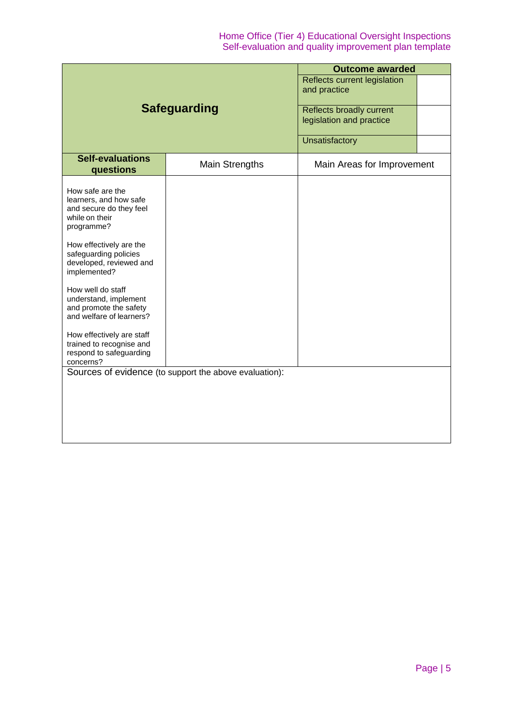|                                                                                                                                                                                                                                                                                                                                                                                                           |                                                        | <b>Outcome awarded</b>                               |  |  |
|-----------------------------------------------------------------------------------------------------------------------------------------------------------------------------------------------------------------------------------------------------------------------------------------------------------------------------------------------------------------------------------------------------------|--------------------------------------------------------|------------------------------------------------------|--|--|
| <b>Safeguarding</b>                                                                                                                                                                                                                                                                                                                                                                                       |                                                        | Reflects current legislation<br>and practice         |  |  |
|                                                                                                                                                                                                                                                                                                                                                                                                           |                                                        | Reflects broadly current<br>legislation and practice |  |  |
|                                                                                                                                                                                                                                                                                                                                                                                                           |                                                        | Unsatisfactory                                       |  |  |
| <b>Self-evaluations</b><br>questions                                                                                                                                                                                                                                                                                                                                                                      | <b>Main Strengths</b>                                  | Main Areas for Improvement                           |  |  |
| How safe are the<br>learners, and how safe<br>and secure do they feel<br>while on their<br>programme?<br>How effectively are the<br>safeguarding policies<br>developed, reviewed and<br>implemented?<br>How well do staff<br>understand, implement<br>and promote the safety<br>and welfare of learners?<br>How effectively are staff<br>trained to recognise and<br>respond to safeguarding<br>concerns? | Sources of evidence (to support the above evaluation): |                                                      |  |  |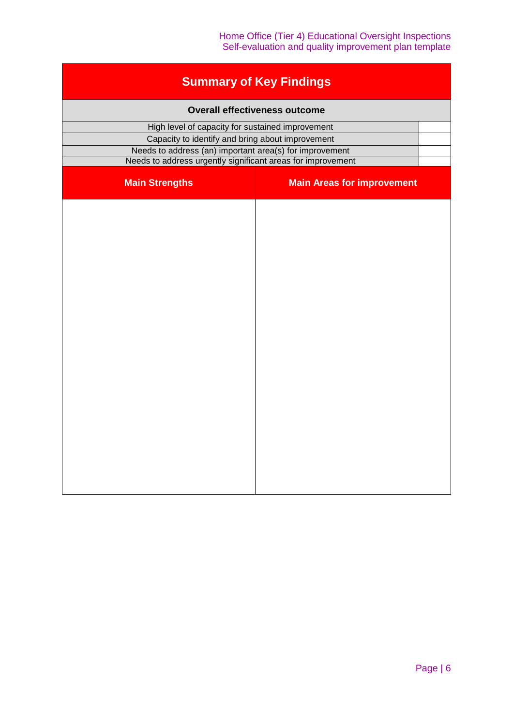| <b>Summary of Key Findings</b>                              |                                   |  |  |  |
|-------------------------------------------------------------|-----------------------------------|--|--|--|
| <b>Overall effectiveness outcome</b>                        |                                   |  |  |  |
| High level of capacity for sustained improvement            |                                   |  |  |  |
| Capacity to identify and bring about improvement            |                                   |  |  |  |
| Needs to address (an) important area(s) for improvement     |                                   |  |  |  |
| Needs to address urgently significant areas for improvement |                                   |  |  |  |
| <b>Main Strengths</b>                                       | <b>Main Areas for improvement</b> |  |  |  |
|                                                             |                                   |  |  |  |
|                                                             |                                   |  |  |  |
|                                                             |                                   |  |  |  |
|                                                             |                                   |  |  |  |